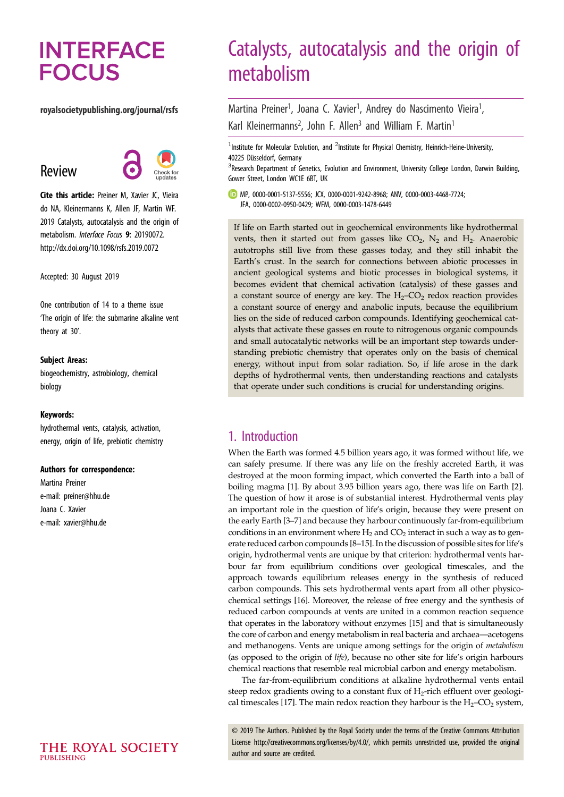# **INTERFACE FOCUS**

### royalsocietypublishing.org/journal/rsfs

Review



Cite this article: Preiner M, Xavier JC, Vieira do NA, Kleinermanns K, Allen JF, Martin WF. 2019 Catalysts, autocatalysis and the origin of metabolism. *Interface Focus* 9: 20190072. http://dx.doi.org/10.1098/rsfs.2019.0072

Accepted: 30 August 2019

One contribution of 14 to a theme issue 'The origin of life: the submarine alkaline vent theory at 30'.

### Subject Areas:

biogeochemistry, astrobiology, chemical biology

### Keywords:

hydrothermal vents, catalysis, activation, energy, origin of life, prebiotic chemistry

#### Authors for correspondence:

Martina Preiner e-mail: [preiner@hhu.de](mailto:preiner@hhu.de) Joana C. Xavier e-mail: [xavier@hhu.de](mailto:xavier@hhu.de)

# Catalysts, autocatalysis and the origin of metabolism

Martina Preiner<sup>1</sup>, Joana C. Xavier<sup>1</sup>, Andrey do Nascimento Vieira<sup>1</sup> , Karl Kleinermanns<sup>2</sup>, John F. Allen<sup>3</sup> and William F. Martin<sup>1</sup>

<sup>1</sup>Institute for Molecular Evolution, and <sup>2</sup>Institute for Physical Chemistry, Heinrich-Heine-University, 40225 Düsseldorf, Germany

<sup>3</sup> Research Department of Genetics, Evolution and Environment, University College London, Darwin Building, Gower Street, London WC1E 6BT, UK

MP, [0000-0001-5137-5556;](http://orcid.org/0000-0001-5137-5556) JCX, [0000-0001-9242-8968;](http://orcid.org/0000-0001-9242-8968) ANV, [0000-0003-4468-7724](http://orcid.org/0000-0003-4468-7724); JFA, [0000-0002-0950-0429;](http://orcid.org/0000-0002-0950-0429) WFM, [0000-0003-1478-6449](http://orcid.org/0000-0003-1478-6449)

If life on Earth started out in geochemical environments like hydrothermal vents, then it started out from gasses like  $CO_2$ ,  $N_2$  and  $H_2$ . Anaerobic autotrophs still live from these gasses today, and they still inhabit the Earth's crust. In the search for connections between abiotic processes in ancient geological systems and biotic processes in biological systems, it becomes evident that chemical activation (catalysis) of these gasses and a constant source of energy are key. The  $H_2$ – $CO_2$  redox reaction provides a constant source of energy and anabolic inputs, because the equilibrium lies on the side of reduced carbon compounds. Identifying geochemical catalysts that activate these gasses en route to nitrogenous organic compounds and small autocatalytic networks will be an important step towards understanding prebiotic chemistry that operates only on the basis of chemical energy, without input from solar radiation. So, if life arose in the dark depths of hydrothermal vents, then understanding reactions and catalysts that operate under such conditions is crucial for understanding origins.

# 1. Introduction

When the Earth was formed 4.5 billion years ago, it was formed without life, we can safely presume. If there was any life on the freshly accreted Earth, it was destroyed at the moon forming impact, which converted the Earth into a ball of boiling magma [\[1\]](#page-5-0). By about 3.95 billion years ago, there was life on Earth [\[2\]](#page-5-0). The question of how it arose is of substantial interest. Hydrothermal vents play an important role in the question of life's origin, because they were present on the early Earth [[3](#page-5-0)–[7](#page-5-0)] and because they harbour continuously far-from-equilibrium conditions in an environment where  $H_2$  and  $CO_2$  interact in such a way as to generate reduced carbon compounds [\[8](#page-5-0)–[15\]](#page-6-0). In the discussion of possible sites for life's origin, hydrothermal vents are unique by that criterion: hydrothermal vents harbour far from equilibrium conditions over geological timescales, and the approach towards equilibrium releases energy in the synthesis of reduced carbon compounds. This sets hydrothermal vents apart from all other physicochemical settings [\[16](#page-6-0)]. Moreover, the release of free energy and the synthesis of reduced carbon compounds at vents are united in a common reaction sequence that operates in the laboratory without enzymes [[15\]](#page-6-0) and that is simultaneously the core of carbon and energy metabolism in real bacteria and archaea—acetogens and methanogens. Vents are unique among settings for the origin of metabolism (as opposed to the origin of life), because no other site for life's origin harbours chemical reactions that resemble real microbial carbon and energy metabolism.

The far-from-equilibrium conditions at alkaline hydrothermal vents entail steep redox gradients owing to a constant flux of  $H_2$ -rich effluent over geologi-cal timescales [[17](#page-6-0)]. The main redox reaction they harbour is the  $H_2$ –CO<sub>2</sub> system,

© 2019 The Authors. Published by the Royal Society under the terms of the Creative Commons Attribution License<http://creativecommons.org/licenses/by/4.0/>, which permits unrestricted use, provided the original author and source are credited.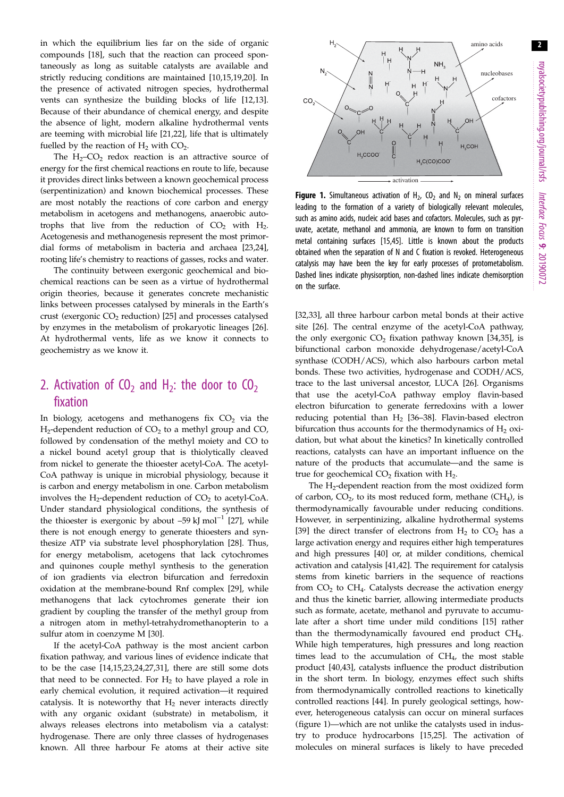2

<span id="page-1-0"></span>in which the equilibrium lies far on the side of organic compounds [\[18](#page-6-0)], such that the reaction can proceed spontaneously as long as suitable catalysts are available and strictly reducing conditions are maintained [[10,15,19,20](#page-6-0)]. In the presence of activated nitrogen species, hydrothermal vents can synthesize the building blocks of life [\[12,13](#page-6-0)]. Because of their abundance of chemical energy, and despite the absence of light, modern alkaline hydrothermal vents are teeming with microbial life [[21,22](#page-6-0)], life that is ultimately fuelled by the reaction of  $H_2$  with  $CO_2$ .

The  $H_2$ – $CO_2$  redox reaction is an attractive source of energy for the first chemical reactions en route to life, because it provides direct links between a known geochemical process (serpentinization) and known biochemical processes. These are most notably the reactions of core carbon and energy metabolism in acetogens and methanogens, anaerobic autotrophs that live from the reduction of  $CO<sub>2</sub>$  with  $H<sub>2</sub>$ . Acetogenesis and methanogenesis represent the most primordial forms of metabolism in bacteria and archaea [[23](#page-6-0),[24](#page-6-0)], rooting life's chemistry to reactions of gasses, rocks and water.

The continuity between exergonic geochemical and biochemical reactions can be seen as a virtue of hydrothermal origin theories, because it generates concrete mechanistic links between processes catalysed by minerals in the Earth's crust (exergonic  $CO<sub>2</sub>$  reduction) [\[25](#page-6-0)] and processes catalysed by enzymes in the metabolism of prokaryotic lineages [\[26](#page-6-0)]. At hydrothermal vents, life as we know it connects to geochemistry as we know it.

# 2. Activation of  $CO<sub>2</sub>$  and H<sub>2</sub>: the door to  $CO<sub>2</sub>$ fixation

In biology, acetogens and methanogens fix  $CO<sub>2</sub>$  via the  $H_2$ -dependent reduction of  $CO_2$  to a methyl group and  $CO$ , followed by condensation of the methyl moiety and CO to a nickel bound acetyl group that is thiolytically cleaved from nickel to generate the thioester acetyl-CoA. The acetyl-CoA pathway is unique in microbial physiology, because it is carbon and energy metabolism in one. Carbon metabolism involves the  $H_2$ -dependent reduction of  $CO_2$  to acetyl-CoA. Under standard physiological conditions, the synthesis of the thioester is exergonic by about –59 kJ mol<sup>-1</sup> [[27\]](#page-6-0), while there is not enough energy to generate thioesters and synthesize ATP via substrate level phosphorylation [\[28\]](#page-6-0). Thus, for energy metabolism, acetogens that lack cytochromes and quinones couple methyl synthesis to the generation of ion gradients via electron bifurcation and ferredoxin oxidation at the membrane-bound Rnf complex [\[29](#page-6-0)], while methanogens that lack cytochromes generate their ion gradient by coupling the transfer of the methyl group from a nitrogen atom in methyl-tetrahydromethanopterin to a sulfur atom in coenzyme M [\[30](#page-6-0)].

If the acetyl-CoA pathway is the most ancient carbon fixation pathway, and various lines of evidence indicate that to be the case [\[14,15](#page-6-0),[23,24,27,31](#page-6-0)], there are still some dots that need to be connected. For  $H_2$  to have played a role in early chemical evolution, it required activation—it required catalysis. It is noteworthy that  $H_2$  never interacts directly with any organic oxidant (substrate) in metabolism, it always releases electrons into metabolism via a catalyst: hydrogenase. There are only three classes of hydrogenases known. All three harbour Fe atoms at their active site



**Figure 1.** Simultaneous activation of  $H_2$ , CO<sub>2</sub> and N<sub>2</sub> on mineral surfaces leading to the formation of a variety of biologically relevant molecules, such as amino acids, nucleic acid bases and cofactors. Molecules, such as pyruvate, acetate, methanol and ammonia, are known to form on transition metal containing surfaces [\[15,45](#page-6-0)]. Little is known about the products obtained when the separation of N and C fixation is revoked. Heterogeneous catalysis may have been the key for early processes of protometabolism. Dashed lines indicate physisorption, non-dashed lines indicate chemisorption on the surface.

[[32,33\]](#page-6-0), all three harbour carbon metal bonds at their active site [[26](#page-6-0)]. The central enzyme of the acetyl-CoA pathway, the only exergonic  $CO<sub>2</sub>$  fixation pathway known [\[34,35](#page-6-0)], is bifunctional carbon monoxide dehydrogenase/acetyl-CoA synthase (CODH/ACS), which also harbours carbon metal bonds. These two activities, hydrogenase and CODH/ACS, trace to the last universal ancestor, LUCA [[26](#page-6-0)]. Organisms that use the acetyl-CoA pathway employ flavin-based electron bifurcation to generate ferredoxins with a lower reducing potential than  $H_2$  [\[36](#page-6-0)–[38\]](#page-6-0). Flavin-based electron bifurcation thus accounts for the thermodynamics of  $H_2$  oxidation, but what about the kinetics? In kinetically controlled reactions, catalysts can have an important influence on the nature of the products that accumulate—and the same is true for geochemical  $CO<sub>2</sub>$  fixation with  $H<sub>2</sub>$ .

The  $H_2$ -dependent reaction from the most oxidized form of carbon,  $CO<sub>2</sub>$ , to its most reduced form, methane (CH<sub>4</sub>), is thermodynamically favourable under reducing conditions. However, in serpentinizing, alkaline hydrothermal systems [[39\]](#page-6-0) the direct transfer of electrons from  $H_2$  to  $CO_2$  has a large activation energy and requires either high temperatures and high pressures [[40\]](#page-6-0) or, at milder conditions, chemical activation and catalysis [[41,42\]](#page-6-0). The requirement for catalysis stems from kinetic barriers in the sequence of reactions from  $CO<sub>2</sub>$  to  $CH<sub>4</sub>$ . Catalysts decrease the activation energy and thus the kinetic barrier, allowing intermediate products such as formate, acetate, methanol and pyruvate to accumulate after a short time under mild conditions [\[15](#page-6-0)] rather than the thermodynamically favoured end product CH<sub>4</sub>. While high temperatures, high pressures and long reaction times lead to the accumulation of  $CH<sub>4</sub>$ , the most stable product [\[40,43](#page-6-0)], catalysts influence the product distribution in the short term. In biology, enzymes effect such shifts from thermodynamically controlled reactions to kinetically controlled reactions [[44\]](#page-6-0). In purely geological settings, however, heterogeneous catalysis can occur on mineral surfaces (figure 1)—which are not unlike the catalysts used in industry to produce hydrocarbons [[15,25\]](#page-6-0). The activation of molecules on mineral surfaces is likely to have preceded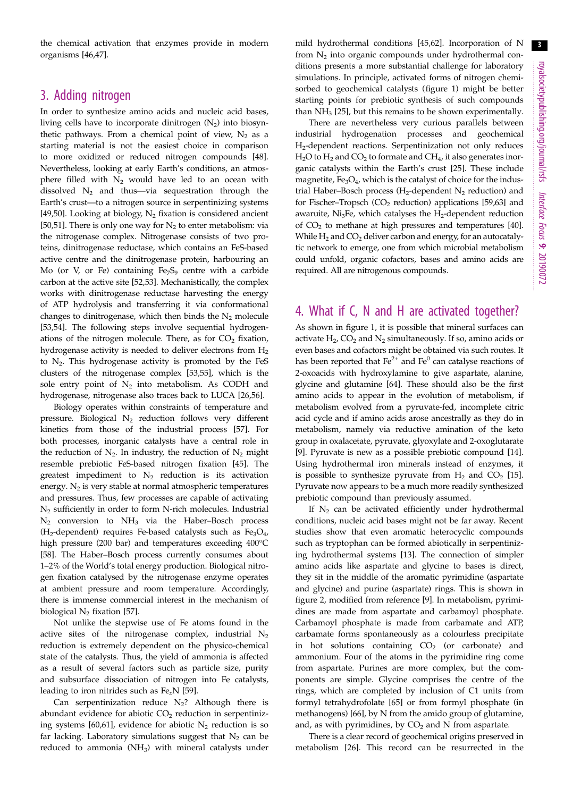the chemical activation that enzymes provide in modern organisms [\[46](#page-6-0),[47](#page-6-0)].

### 3. Adding nitrogen

In order to synthesize amino acids and nucleic acid bases, living cells have to incorporate dinitrogen  $(N_2)$  into biosynthetic pathways. From a chemical point of view,  $N_2$  as a starting material is not the easiest choice in comparison to more oxidized or reduced nitrogen compounds [\[48](#page-6-0)]. Nevertheless, looking at early Earth's conditions, an atmosphere filled with  $N_2$  would have led to an ocean with dissolved  $N_2$  and thus—via sequestration through the Earth's crust—to a nitrogen source in serpentinizing systems [\[49](#page-6-0),[50\]](#page-6-0). Looking at biology,  $N_2$  fixation is considered ancient [\[50](#page-6-0),[51\]](#page-6-0). There is only one way for  $N_2$  to enter metabolism: via the nitrogenase complex. Nitrogenase consists of two proteins, dinitrogenase reductase, which contains an FeS-based active centre and the dinitrogenase protein, harbouring an Mo (or V, or Fe) containing  $Fe<sub>7</sub>S<sub>9</sub>$  centre with a carbide carbon at the active site [[52,53](#page-6-0)]. Mechanistically, the complex works with dinitrogenase reductase harvesting the energy of ATP hydrolysis and transferring it via conformational changes to dinitrogenase, which then binds the  $N_2$  molecule [\[53](#page-6-0),[54\]](#page-6-0). The following steps involve sequential hydrogenations of the nitrogen molecule. There, as for  $CO<sub>2</sub>$  fixation, hydrogenase activity is needed to deliver electrons from  $H_2$ to  $N_2$ . This hydrogenase activity is promoted by the FeS clusters of the nitrogenase complex [[53,](#page-6-0)[55](#page-7-0)], which is the sole entry point of  $N_2$  into metabolism. As CODH and hydrogenase, nitrogenase also traces back to LUCA [\[26](#page-6-0)[,56](#page-7-0)].

Biology operates within constraints of temperature and pressure. Biological  $N_2$  reduction follows very different kinetics from those of the industrial process [\[57](#page-7-0)]. For both processes, inorganic catalysts have a central role in the reduction of  $N_2$ . In industry, the reduction of  $N_2$  might resemble prebiotic FeS-based nitrogen fixation [\[45](#page-6-0)]. The greatest impediment to  $N_2$  reduction is its activation energy.  $N_2$  is very stable at normal atmospheric temperatures and pressures. Thus, few processes are capable of activating N2 sufficiently in order to form N-rich molecules. Industrial  $N_2$  conversion to  $NH_3$  via the Haber–Bosch process (H<sub>2</sub>-dependent) requires Fe-based catalysts such as Fe<sub>3</sub>O<sub>4</sub>, high pressure (200 bar) and temperatures exceeding 400°C [\[58](#page-7-0)]. The Haber–Bosch process currently consumes about 1–2% of the World's total energy production. Biological nitrogen fixation catalysed by the nitrogenase enzyme operates at ambient pressure and room temperature. Accordingly, there is immense commercial interest in the mechanism of biological  $N_2$  fixation [\[57](#page-7-0)].

Not unlike the stepwise use of Fe atoms found in the active sites of the nitrogenase complex, industrial  $N_2$ reduction is extremely dependent on the physico-chemical state of the catalysts. Thus, the yield of ammonia is affected as a result of several factors such as particle size, purity and subsurface dissociation of nitrogen into Fe catalysts, leading to iron nitrides such as  $Fe<sub>x</sub>N$  [\[59](#page-7-0)].

Can serpentinization reduce  $N_2$ ? Although there is abundant evidence for abiotic  $CO<sub>2</sub>$  reduction in serpentiniz-ing systems [\[60,61\]](#page-7-0), evidence for abiotic  $N_2$  reduction is so far lacking. Laboratory simulations suggest that  $N_2$  can be reduced to ammonia  $(NH_3)$  with mineral catalysts under

mild hydrothermal conditions [[45,](#page-6-0)[62\]](#page-7-0). Incorporation of N from N2 into organic compounds under hydrothermal conditions presents a more substantial challenge for laboratory simulations. In principle, activated forms of nitrogen chemisorbed to geochemical catalysts ([figure 1](#page-1-0)) might be better starting points for prebiotic synthesis of such compounds than  $NH<sub>3</sub>$  [\[25](#page-6-0)], but this remains to be shown experimentally.

There are nevertheless very curious parallels between industrial hydrogenation processes and geochemical H2-dependent reactions. Serpentinization not only reduces  $H<sub>2</sub>O$  to  $H<sub>2</sub>$  and  $CO<sub>2</sub>$  to formate and  $CH<sub>4</sub>$ , it also generates inorganic catalysts within the Earth's crust [[25\]](#page-6-0). These include magnetite, Fe<sub>3</sub>O<sub>4</sub>, which is the catalyst of choice for the industrial Haber–Bosch process ( $H_2$ -dependent  $N_2$  reduction) and for Fischer–Tropsch  $(CO<sub>2</sub>$  reduction) applications [[59](#page-7-0),[63](#page-7-0)] and awaruite, Ni<sub>3</sub>Fe, which catalyses the  $H_2$ -dependent reduction of  $CO<sub>2</sub>$  to methane at high pressures and temperatures [\[40\]](#page-6-0). While  $H_2$  and  $CO_2$  deliver carbon and energy, for an autocatalytic network to emerge, one from which microbial metabolism could unfold, organic cofactors, bases and amino acids are required. All are nitrogenous compounds.

## 4. What if C, N and H are activated together?

As shown in [figure 1,](#page-1-0) it is possible that mineral surfaces can activate  $H_2$ , CO<sub>2</sub> and N<sub>2</sub> simultaneously. If so, amino acids or even bases and cofactors might be obtained via such routes. It has been reported that  $Fe^{2+}$  and  $Fe^{0}$  can catalyse reactions of 2-oxoacids with hydroxylamine to give aspartate, alanine, glycine and glutamine [[64\]](#page-7-0). These should also be the first amino acids to appear in the evolution of metabolism, if metabolism evolved from a pyruvate-fed, incomplete citric acid cycle and if amino acids arose ancestrally as they do in metabolism, namely via reductive amination of the keto group in oxalacetate, pyruvate, glyoxylate and 2-oxoglutarate [[9](#page-6-0)]. Pyruvate is new as a possible prebiotic compound [[14\]](#page-6-0). Using hydrothermal iron minerals instead of enzymes, it is possible to synthesize pyruvate from  $H_2$  and  $CO_2$  [[15\]](#page-6-0). Pyruvate now appears to be a much more readily synthesized prebiotic compound than previously assumed.

If  $N_2$  can be activated efficiently under hydrothermal conditions, nucleic acid bases might not be far away. Recent studies show that even aromatic heterocyclic compounds such as tryptophan can be formed abiotically in serpentinizing hydrothermal systems [[13\]](#page-6-0). The connection of simpler amino acids like aspartate and glycine to bases is direct, they sit in the middle of the aromatic pyrimidine (aspartate and glycine) and purine (aspartate) rings. This is shown in [figure 2](#page-3-0), modified from reference [[9](#page-6-0)]. In metabolism, pyrimidines are made from aspartate and carbamoyl phosphate. Carbamoyl phosphate is made from carbamate and ATP, carbamate forms spontaneously as a colourless precipitate in hot solutions containing  $CO<sub>2</sub>$  (or carbonate) and ammonium. Four of the atoms in the pyrimidine ring come from aspartate. Purines are more complex, but the components are simple. Glycine comprises the centre of the rings, which are completed by inclusion of C1 units from formyl tetrahydrofolate [\[65](#page-7-0)] or from formyl phosphate (in methanogens) [[66\]](#page-7-0), by N from the amido group of glutamine, and, as with pyrimidines, by  $CO<sub>2</sub>$  and N from aspartate.

There is a clear record of geochemical origins preserved in metabolism [[26\]](#page-6-0). This record can be resurrected in the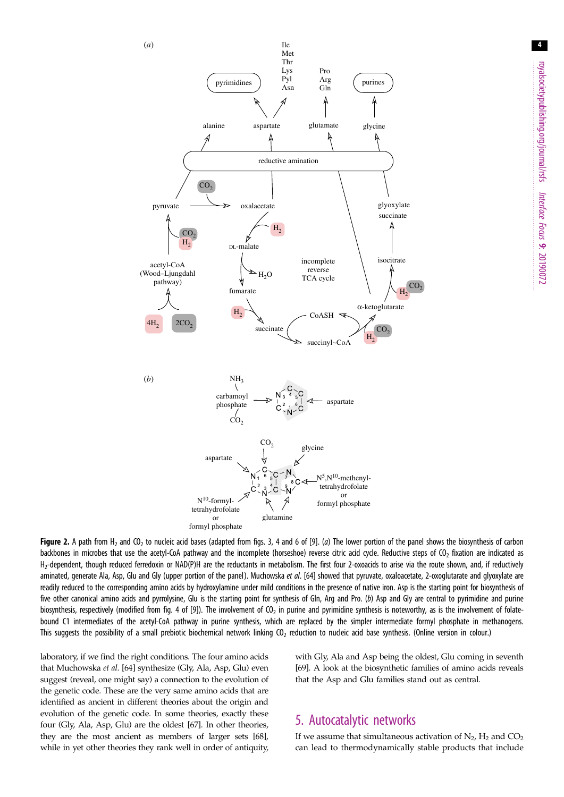<span id="page-3-0"></span>

Figure 2. A path from H<sub>2</sub> and CO<sub>2</sub> to nucleic acid bases (adapted from figs. 3, 4 and 6 of [\[9](#page-6-0)]. (a) The lower portion of the panel shows the biosynthesis of carbon backbones in microbes that use the acetyl-CoA pathway and the incomplete (horseshoe) reverse citric acid cycle. Reductive steps of CO<sub>2</sub> fixation are indicated as  $H_2$ -dependent, though reduced ferredoxin or NAD(P)H are the reductants in metabolism. The first four 2-oxoacids to arise via the route shown, and, if reductively aminated, generate Ala, Asp, Glu and Gly (upper portion of the panel). Muchowska et al. [\[64\]](#page-7-0) showed that pyruvate, oxaloacetate, 2-oxoglutarate and glyoxylate are readily reduced to the corresponding amino acids by hydroxylamine under mild conditions in the presence of native iron. Asp is the starting point for biosynthesis of five other canonical amino acids and pyrrolysine, Glu is the starting point for synthesis of Gln, Arg and Pro. (b) Asp and Gly are central to pyrimidine and purine biosynthesis, respectively (modified from fig. 4 of [[9](#page-6-0)]). The involvement of  $O<sub>2</sub>$  in purine and pyrimidine synthesis is noteworthy, as is the involvement of folatebound C1 intermediates of the acetyl-CoA pathway in purine synthesis, which are replaced by the simpler intermediate formyl phosphate in methanogens. This suggests the possibility of a small prebiotic biochemical network linking CO<sub>2</sub> reduction to nucleic acid base synthesis. (Online version in colour.)

laboratory, if we find the right conditions. The four amino acids that Muchowska et al. [\[64](#page-7-0)] synthesize (Gly, Ala, Asp, Glu) even suggest (reveal, one might say) a connection to the evolution of the genetic code. These are the very same amino acids that are identified as ancient in different theories about the origin and evolution of the genetic code. In some theories, exactly these four (Gly, Ala, Asp, Glu) are the oldest [[67](#page-7-0)]. In other theories, they are the most ancient as members of larger sets [[68](#page-7-0)], while in yet other theories they rank well in order of antiquity, with Gly, Ala and Asp being the oldest, Glu coming in seventh [[69](#page-7-0)]. A look at the biosynthetic families of amino acids reveals that the Asp and Glu families stand out as central.

# 5. Autocatalytic networks

If we assume that simultaneous activation of  $N_2$ ,  $H_2$  and  $CO_2$ can lead to thermodynamically stable products that include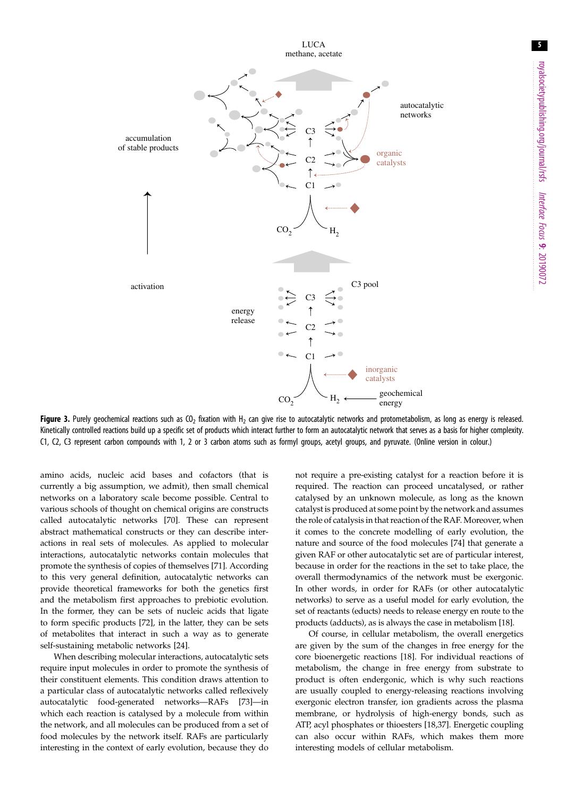5

<span id="page-4-0"></span>

Figure 3. Purely geochemical reactions such as CO<sub>2</sub> fixation with H<sub>2</sub> can give rise to autocatalytic networks and protometabolism, as long as energy is released. Kinetically controlled reactions build up a specific set of products which interact further to form an autocatalytic network that serves as a basis for higher complexity. C1, C2, C3 represent carbon compounds with 1, 2 or 3 carbon atoms such as formyl groups, acetyl groups, and pyruvate. (Online version in colour.)

amino acids, nucleic acid bases and cofactors (that is currently a big assumption, we admit), then small chemical networks on a laboratory scale become possible. Central to various schools of thought on chemical origins are constructs called autocatalytic networks [\[70](#page-7-0)]. These can represent abstract mathematical constructs or they can describe interactions in real sets of molecules. As applied to molecular interactions, autocatalytic networks contain molecules that promote the synthesis of copies of themselves [[71\]](#page-7-0). According to this very general definition, autocatalytic networks can provide theoretical frameworks for both the genetics first and the metabolism first approaches to prebiotic evolution. In the former, they can be sets of nucleic acids that ligate to form specific products [[72\]](#page-7-0), in the latter, they can be sets of metabolites that interact in such a way as to generate self-sustaining metabolic networks [\[24](#page-6-0)].

When describing molecular interactions, autocatalytic sets require input molecules in order to promote the synthesis of their constituent elements. This condition draws attention to a particular class of autocatalytic networks called reflexively autocatalytic food-generated networks—RAFs [[73\]](#page-7-0)—in which each reaction is catalysed by a molecule from within the network, and all molecules can be produced from a set of food molecules by the network itself. RAFs are particularly interesting in the context of early evolution, because they do

not require a pre-existing catalyst for a reaction before it is required. The reaction can proceed uncatalysed, or rather catalysed by an unknown molecule, as long as the known catalyst is produced at some point by the network and assumes the role of catalysis in that reaction of the RAF. Moreover, when it comes to the concrete modelling of early evolution, the nature and source of the food molecules [[74\]](#page-7-0) that generate a given RAF or other autocatalytic set are of particular interest, because in order for the reactions in the set to take place, the overall thermodynamics of the network must be exergonic. In other words, in order for RAFs (or other autocatalytic networks) to serve as a useful model for early evolution, the set of reactants (educts) needs to release energy en route to the products (adducts), as is always the case in metabolism [\[18](#page-6-0)].

Of course, in cellular metabolism, the overall energetics are given by the sum of the changes in free energy for the core bioenergetic reactions [[18\]](#page-6-0). For individual reactions of metabolism, the change in free energy from substrate to product is often endergonic, which is why such reactions are usually coupled to energy-releasing reactions involving exergonic electron transfer, ion gradients across the plasma membrane, or hydrolysis of high-energy bonds, such as ATP, acyl phosphates or thioesters [[18,37](#page-6-0)]. Energetic coupling can also occur within RAFs, which makes them more interesting models of cellular metabolism.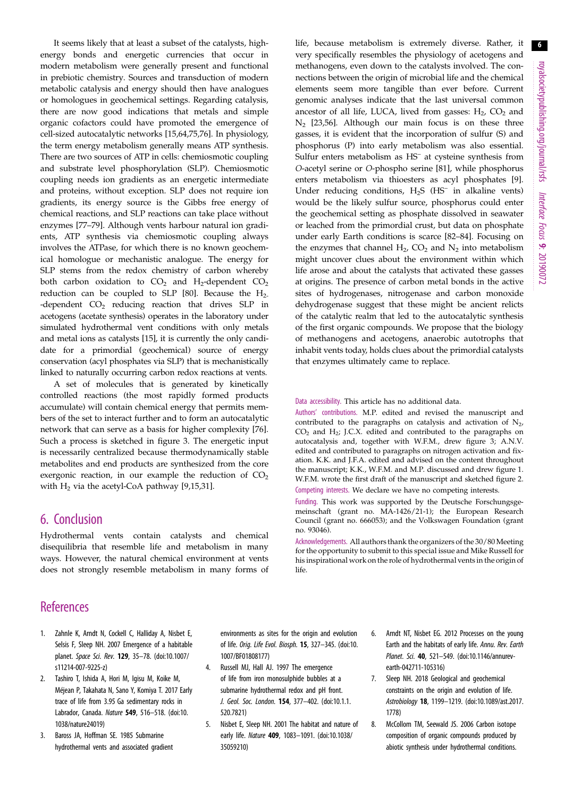<span id="page-5-0"></span>It seems likely that at least a subset of the catalysts, highenergy bonds and energetic currencies that occur in modern metabolism were generally present and functional in prebiotic chemistry. Sources and transduction of modern metabolic catalysis and energy should then have analogues or homologues in geochemical settings. Regarding catalysis, there are now good indications that metals and simple organic cofactors could have promoted the emergence of cell-sized autocatalytic networks [\[15](#page-6-0)[,64](#page-7-0),[75,76\]](#page-7-0). In physiology, the term energy metabolism generally means ATP synthesis. There are two sources of ATP in cells: chemiosmotic coupling and substrate level phosphorylation (SLP). Chemiosmotic coupling needs ion gradients as an energetic intermediate and proteins, without exception. SLP does not require ion gradients, its energy source is the Gibbs free energy of chemical reactions, and SLP reactions can take place without enzymes [\[77](#page-7-0)–[79\]](#page-7-0). Although vents harbour natural ion gradients, ATP synthesis via chemiosmotic coupling always involves the ATPase, for which there is no known geochemical homologue or mechanistic analogue. The energy for SLP stems from the redox chemistry of carbon whereby both carbon oxidation to  $CO<sub>2</sub>$  and H<sub>2</sub>-dependent  $CO<sub>2</sub>$ reduction can be coupled to SLP [\[80](#page-7-0)]. Because the  $H_2$ --dependent  $CO<sub>2</sub>$  reducing reaction that drives SLP in acetogens (acetate synthesis) operates in the laboratory under simulated hydrothermal vent conditions with only metals and metal ions as catalysts [[15\]](#page-6-0), it is currently the only candidate for a primordial (geochemical) source of energy conservation (acyl phosphates via SLP) that is mechanistically linked to naturally occurring carbon redox reactions at vents.

A set of molecules that is generated by kinetically controlled reactions (the most rapidly formed products accumulate) will contain chemical energy that permits members of the set to interact further and to form an autocatalytic network that can serve as a basis for higher complexity [\[76](#page-7-0)]. Such a process is sketched in [figure 3](#page-4-0). The energetic input is necessarily centralized because thermodynamically stable metabolites and end products are synthesized from the core exergonic reaction, in our example the reduction of  $CO<sub>2</sub>$ with  $H<sub>2</sub>$  via the acetyl-CoA pathway [\[9,15,31](#page-6-0)].

## 6. Conclusion

Hydrothermal vents contain catalysts and chemical disequilibria that resemble life and metabolism in many ways. However, the natural chemical environment at vents does not strongly resemble metabolism in many forms of

# **References**

- 1. Zahnle K, Arndt N, Cockell C, Halliday A, Nisbet E, Selsis F, Sleep NH. 2007 Emergence of a habitable planet. Space Sci. Rev. 129, 35–78. [\(doi:10.1007/](http://dx.doi.org/10.1007/s11214-007-9225-z) [s11214-007-9225-z](http://dx.doi.org/10.1007/s11214-007-9225-z))
- 2. Tashiro T, Ishida A, Hori M, Igisu M, Koike M, Méjean P, Takahata N, Sano Y, Komiya T. 2017 Early trace of life from 3.95 Ga sedimentary rocks in Labrador, Canada. Nature 549, 516–518. ([doi:10.](http://dx.doi.org/10.1038/nature24019) [1038/nature24019](http://dx.doi.org/10.1038/nature24019))
- 3. Baross JA, Hoffman SE. 1985 Submarine hydrothermal vents and associated gradient

environments as sites for the origin and evolution of life. Orig. Life Evol. Biosph. 15, 327–345. [\(doi:10.](http://dx.doi.org/10.1007/BF01808177) [1007/BF01808177\)](http://dx.doi.org/10.1007/BF01808177)

- 4. Russell MJ, Hall AJ. 1997 The emergence of life from iron monosulphide bubbles at a submarine hydrothermal redox and pH front. J. Geol. Soc. London. 154, 377–402. ([doi:10.1.1.](http://dx.doi.org/10.1.1.520.7821) [520.7821](http://dx.doi.org/10.1.1.520.7821))
- 5. Nisbet E, Sleep NH. 2001 The habitat and nature of early life. Nature 409, 1083–1091. ([doi:10.1038/](http://dx.doi.org/10.1038/35059210) [35059210\)](http://dx.doi.org/10.1038/35059210)
- 6. Arndt NT, Nisbet EG. 2012 Processes on the young Earth and the habitats of early life. Annu. Rev. Earth Planet. Sci. 40, 521–549. [\(doi:10.1146/annurev](http://dx.doi.org/10.1146/annurev-earth-042711-105316)[earth-042711-105316](http://dx.doi.org/10.1146/annurev-earth-042711-105316))
- 7. Sleep NH. 2018 Geological and geochemical constraints on the origin and evolution of life. Astrobiology 18, 1199–1219. ([doi:10.1089/ast.2017.](http://dx.doi.org/10.1089/ast.2017.1778) [1778](http://dx.doi.org/10.1089/ast.2017.1778))
- 8. McCollom TM, Seewald JS. 2006 Carbon isotope composition of organic compounds produced by abiotic synthesis under hydrothermal conditions.

life, because metabolism is extremely diverse. Rather, it very specifically resembles the physiology of acetogens and methanogens, even down to the catalysts involved. The connections between the origin of microbial life and the chemical elements seem more tangible than ever before. Current genomic analyses indicate that the last universal common ancestor of all life, LUCA, lived from gasses:  $H<sub>2</sub>$ , CO<sub>2</sub> and  $N_2$  [\[23](#page-6-0),[56\]](#page-7-0). Although our main focus is on these three gasses, it is evident that the incorporation of sulfur (S) and phosphorus (P) into early metabolism was also essential. Sulfur enters metabolism as HS– at cysteine synthesis from O-acetyl serine or O-phospho serine [\[81](#page-7-0)], while phosphorus enters metabolism via thioesters as acyl phosphates [\[9\]](#page-6-0). Under reducing conditions,  $H_2S$  ( $HS^-$  in alkaline vents) would be the likely sulfur source, phosphorus could enter the geochemical setting as phosphate dissolved in seawater or leached from the primordial crust, but data on phosphate under early Earth conditions is scarce [\[82](#page-7-0)–[84\]](#page-7-0). Focusing on the enzymes that channel  $H_2$ ,  $CO_2$  and  $N_2$  into metabolism might uncover clues about the environment within which life arose and about the catalysts that activated these gasses at origins. The presence of carbon metal bonds in the active sites of hydrogenases, nitrogenase and carbon monoxide dehydrogenase suggest that these might be ancient relicts of the catalytic realm that led to the autocatalytic synthesis of the first organic compounds. We propose that the biology of methanogens and acetogens, anaerobic autotrophs that inhabit vents today, holds clues about the primordial catalysts that enzymes ultimately came to replace.

Data accessibility. This article has no additional data.

Authors' contributions. M.P. edited and revised the manuscript and contributed to the paragraphs on catalysis and activation of  $N_2$ ,  $CO<sub>2</sub>$  and H<sub>2</sub>; J.C.X. edited and contributed to the paragraphs on autocatalysis and, together with W.F.M., drew [figure 3;](#page-4-0) A.N.V. edited and contributed to paragraphs on nitrogen activation and fixation. K.K. and J.F.A. edited and advised on the content throughout the manuscript; K.K., W.F.M. and M.P. discussed and drew [figure 1.](#page-1-0) W.F.M. wrote the first draft of the manuscript and sketched [figure 2.](#page-3-0) Competing interests. We declare we have no competing interests.

Funding. This work was supported by the Deutsche Forschungsgemeinschaft (grant no. MA-1426/21-1); the European Research Council (grant no. 666053); and the Volkswagen Foundation (grant no. 93046).

Acknowledgements. All authors thank the organizers of the 30/80 Meeting for the opportunity to submit to this special issue and Mike Russell for his inspirational work on the role of hydrothermal vents in the origin of life.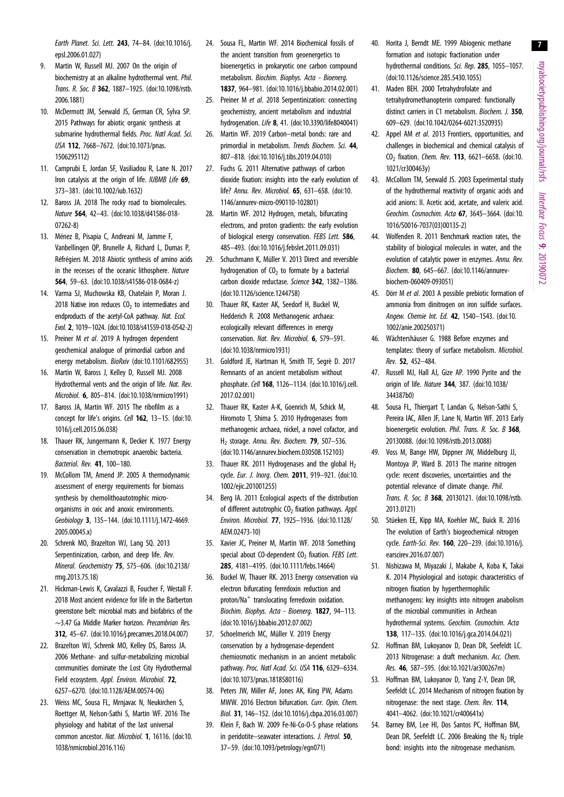royalsocietypublishing.org/journal/rsfs Interface Focus 9: 20190072

7

<span id="page-6-0"></span>Earth Planet. Sci. Lett. 243, 74–84. ([doi:10.1016/j.](http://dx.doi.org/10.1016/j.epsl.2006.01.027) [epsl.2006.01.027](http://dx.doi.org/10.1016/j.epsl.2006.01.027))

- 9. Martin W, Russell MJ. 2007 On the origin of biochemistry at an alkaline hydrothermal vent. Phil. Trans. R. Soc. B 362, 1887–1925. ([doi:10.1098/rstb.](http://dx.doi.org/10.1098/rstb.2006.1881) [2006.1881\)](http://dx.doi.org/10.1098/rstb.2006.1881)
- 10. McDermott JM, Seewald JS, German CR, Sylva SP. 2015 Pathways for abiotic organic synthesis at submarine hydrothermal fields. Proc. Natl Acad. Sci. USA 112, 7668–7672. [\(doi:10.1073/pnas.](http://dx.doi.org/10.1073/pnas.1506295112) [1506295112\)](http://dx.doi.org/10.1073/pnas.1506295112)
- 11. Camprubi E, Jordan SF, Vasiliadou R, Lane N. 2017 Iron catalysis at the origin of life. IUBMB Life 69, 373–381. ([doi:10.1002/iub.1632](http://dx.doi.org/10.1002/iub.1632))
- 12. Baross JA. 2018 The rocky road to biomolecules. Nature 564, 42–43. ([doi:10.1038/d41586-018-](http://dx.doi.org/10.1038/d41586-018-07262-8) [07262-8\)](http://dx.doi.org/10.1038/d41586-018-07262-8)
- 13. Ménez B, Pisapia C, Andreani M, Jamme F, Vanbellingen QP, Brunelle A, Richard L, Dumas P, Réfrégiers M. 2018 Abiotic synthesis of amino acids in the recesses of the oceanic lithosphere. Nature 564, 59–63. ([doi:10.1038/s41586-018-0684-z\)](http://dx.doi.org/10.1038/s41586-018-0684-z)
- 14. Varma SJ, Muchowska KB, Chatelain P, Moran J. 2018 Native iron reduces  $CO<sub>2</sub>$  to intermediates and endproducts of the acetyl-CoA pathway. Nat. Ecol. Evol. 2, 1019–1024. ([doi:10.1038/s41559-018-0542-2](http://dx.doi.org/10.1038/s41559-018-0542-2))
- 15. Preiner M et al. 2019 A hydrogen dependent geochemical analogue of primordial carbon and energy metabolism. BioRxiv (doi:10.1101/682955)
- 16. Martin W, Baross J, Kelley D, Russell MJ. 2008 Hydrothermal vents and the origin of life. Nat. Rev. Microbiol. 6, 805–814. [\(doi:10.1038/nrmicro1991](http://dx.doi.org/10.1038/nrmicro1991))
- 17. Baross JA, Martin WF. 2015 The ribofilm as a concept for life's origins. Cell 162, 13-15. [\(doi:10.](http://dx.doi.org/10.1016/j.cell.2015.06.038) [1016/j.cell.2015.06.038\)](http://dx.doi.org/10.1016/j.cell.2015.06.038)
- 18. Thauer RK, Jungermann K, Decker K. 1977 Energy conservation in chemotropic anaerobic bacteria. Bacteriol. Rev. 41, 100–180.
- 19. McCollom TM, Amend JP. 2005 A thermodynamic assessment of energy requirements for biomass synthesis by chemolithoautotrophic microorganisms in oxic and anoxic environments. Geobiology 3, 135–144. ([doi:10.1111/j.1472-4669.](http://dx.doi.org/10.1111/j.1472-4669.2005.00045.x) [2005.00045.x\)](http://dx.doi.org/10.1111/j.1472-4669.2005.00045.x)
- 20. Schrenk MO, Brazelton WJ, Lang SQ. 2013 Serpentinization, carbon, and deep life. Rev. Mineral. Geochemistry 75, 575–606. ([doi:10.2138/](http://dx.doi.org/10.2138/rmg.2013.75.18) [rmg.2013.75.18](http://dx.doi.org/10.2138/rmg.2013.75.18))
- 21. Hickman-Lewis K, Cavalazzi B, Foucher F, Westall F. 2018 Most ancient evidence for life in the Barberton greenstone belt: microbial mats and biofabrics of the ∼3.47 Ga Middle Marker horizon. Precambrian Res. 312, 45–67. [\(doi:10.1016/j.precamres.2018.04.007](http://dx.doi.org/10.1016/j.precamres.2018.04.007))
- 22. Brazelton WJ, Schrenk MO, Kelley DS, Baross JA. 2006 Methane- and sulfur-metabolizing microbial communities dominate the Lost City Hydrothermal Field ecosystem. Appl. Environ. Microbiol. 72. 6257–6270. [\(doi:10.1128/AEM.00574-06](http://dx.doi.org/10.1128/AEM.00574-06))
- 23. Weiss MC, Sousa FL, Mrnjavac N, Neukirchen S, Roettger M, Nelson-Sathi S, Martin WF. 2016 The physiology and habitat of the last universal common ancestor. Nat. Microbiol. 1, 16116. ([doi:10.](http://dx.doi.org/10.1038/nmicrobiol.2016.116) [1038/nmicrobiol.2016.116\)](http://dx.doi.org/10.1038/nmicrobiol.2016.116)
- 24. Sousa FL, Martin WF. 2014 Biochemical fossils of the ancient transition from geoenergetics to bioenergetics in prokaryotic one carbon compound metabolism. Biochim. Biophys. Acta - Bioenerg. 1837, 964–981. ([doi:10.1016/j.bbabio.2014.02.001\)](http://dx.doi.org/10.1016/j.bbabio.2014.02.001)
- 25. Preiner M et al. 2018 Serpentinization: connecting geochemistry, ancient metabolism and industrial hydrogenation. Life 8, 41. [\(doi:10.3390/life8040041\)](http://dx.doi.org/10.3390/life8040041)
- 26. Martin WF. 2019 Carbon–metal bonds: rare and primordial in metabolism. Trends Biochem. Sci. 44, 807–818. ([doi:10.1016/j.tibs.2019.04.010\)](http://dx.doi.org/10.1016/j.tibs.2019.04.010)
- 27. Fuchs G. 2011 Alternative pathways of carbon dioxide fixation: insights into the early evolution of life? Annu. Rev. Microbiol. 65, 631–658. [\(doi:10.](http://dx.doi.org/10.1146/annurev-micro-090110-102801) [1146/annurev-micro-090110-102801\)](http://dx.doi.org/10.1146/annurev-micro-090110-102801)
- 28. Martin WF. 2012 Hydrogen, metals, bifurcating electrons, and proton gradients: the early evolution of biological energy conservation. FEBS Lett. 586, 485–493. ([doi:10.1016/j.febslet.2011.09.031](http://dx.doi.org/10.1016/j.febslet.2011.09.031))
- 29. Schuchmann K, Müller V. 2013 Direct and reversible hydrogenation of  $CO<sub>2</sub>$  to formate by a bacterial carbon dioxide reductase. Science 342, 1382–1386. [\(doi:10.1126/science.1244758](http://dx.doi.org/10.1126/science.1244758))
- 30. Thauer RK, Kaster AK, Seedorf H, Buckel W, Hedderich R. 2008 Methanogenic archaea: ecologically relevant differences in energy conservation. Nat. Rev. Microbiol. 6, 579–591. [\(doi:10.1038/nrmicro1931](http://dx.doi.org/10.1038/nrmicro1931))
- 31. Goldford JE, Hartman H, Smith TF, Segrè D. 2017 Remnants of an ancient metabolism without phosphate. Cell 168, 1126–1134. [\(doi:10.1016/j.cell.](http://dx.doi.org/10.1016/j.cell.2017.02.001) [2017.02.001\)](http://dx.doi.org/10.1016/j.cell.2017.02.001)
- 32. Thauer RK, Kaster A-K, Goenrich M, Schick M, Hiromoto T, Shima S. 2010 Hydrogenases from methanogenic archaea, nickel, a novel cofactor, and  $H<sub>2</sub>$  storage. Annu. Rev. Biochem. **79**, 507-536. [\(doi:10.1146/annurev.biochem.030508.152103\)](http://dx.doi.org/10.1146/annurev.biochem.030508.152103)
- 33. Thauer RK. 2011 Hydrogenases and the global  $H_2$ cycle. Eur. J. Inorg. Chem. 2011, 919–921. [\(doi:10.](http://dx.doi.org/10.1002/ejic.201001255) [1002/ejic.201001255\)](http://dx.doi.org/10.1002/ejic.201001255)
- 34. Berg IA. 2011 Ecological aspects of the distribution of different autotrophic  $CO<sub>2</sub>$  fixation pathways. Appl. Environ. Microbiol. 77, 1925–1936. [\(doi:10.1128/](http://dx.doi.org/10.1128/AEM.02473-10) [AEM.02473-10\)](http://dx.doi.org/10.1128/AEM.02473-10)
- 35. Xavier JC, Preiner M, Martin WF. 2018 Something special about CO-dependent  $CO<sub>2</sub>$  fixation. FEBS Lett. 285, 4181–4195. [\(doi:10.1111/febs.14664\)](http://dx.doi.org/10.1111/febs.14664)
- 36. Buckel W, Thauer RK. 2013 Energy conservation via electron bifurcating ferredoxin reduction and proton/Na+ translocating ferredoxin oxidation. Biochim. Biophys. Acta - Bioenerg. 1827, 94–113. [\(doi:10.1016/j.bbabio.2012.07.002](http://dx.doi.org/10.1016/j.bbabio.2012.07.002))
- 37. Schoelmerich MC, Müller V. 2019 Energy conservation by a hydrogenase-dependent chemiosmotic mechanism in an ancient metabolic pathway. Proc. Natl Acad. Sci. USA 116, 6329-6334. [\(doi:10.1073/pnas.1818580116\)](http://dx.doi.org/10.1073/pnas.1818580116)
- 38. Peters JW, Miller AF, Jones AK, King PW, Adams MWW. 2016 Electron bifurcation. Curr. Opin. Chem. Biol. 31, 146–152. [\(doi:10.1016/j.cbpa.2016.03.007\)](http://dx.doi.org/10.1016/j.cbpa.2016.03.007)
- 39. Klein F, Bach W. 2009 Fe-Ni-Co-O-S phase relations in peridotite–seawater interactions. J. Petrol. 50, 37–59. ([doi:10.1093/petrology/egn071](http://dx.doi.org/10.1093/petrology/egn071))
- 40. Horita J, Berndt ME. 1999 Abiogenic methane formation and isotopic fractionation under hydrothermal conditions. Sci. Rep. 285, 1055–1057. ([doi:10.1126/science.285.5430.1055\)](http://dx.doi.org/10.1126/science.285.5430.1055)
- 41. Maden BEH. 2000 Tetrahydrofolate and tetrahydromethanopterin compared: functionally distinct carriers in C1 metabolism. Biochem. J. 350, 609–629. [\(doi:10.1042/0264-6021:3520935\)](http://dx.doi.org/10.1042/0264-6021:3520935)
- 42. Appel AM et al. 2013 Frontiers, opportunities, and challenges in biochemical and chemical catalysis of CO<sub>2</sub> fixation. Chem. Rev. **113**, 6621-6658. [\(doi:10.](http://dx.doi.org/10.1021/cr300463y) [1021/cr300463y\)](http://dx.doi.org/10.1021/cr300463y)
- 43. McCollom TM, Seewald JS. 2003 Experimental study of the hydrothermal reactivity of organic acids and acid anions: II. Acetic acid, acetate, and valeric acid. Geochim. Cosmochim. Acta 67, 3645–3664. [\(doi:10.](http://dx.doi.org/10.1016/S0016-7037(03)00135-2) [1016/S0016-7037\(03\)00135-2](http://dx.doi.org/10.1016/S0016-7037(03)00135-2))
- 44. Wolfenden R. 2011 Benchmark reaction rates, the stability of biological molecules in water, and the evolution of catalytic power in enzymes. Annu. Rev. Biochem. 80, 645–667. ([doi:10.1146/annurev](http://dx.doi.org/10.1146/annurev-biochem-060409-093051)[biochem-060409-093051](http://dx.doi.org/10.1146/annurev-biochem-060409-093051))
- 45. Dörr M et al. 2003 A possible prebiotic formation of ammonia from dinitrogen on iron sulfide surfaces. Angew. Chemie Int. Ed. 42, 1540–1543. ([doi:10.](http://dx.doi.org/10.1002/anie.200250371) [1002/anie.200250371](http://dx.doi.org/10.1002/anie.200250371))
- 46. Wächtershäuser G. 1988 Before enzymes and templates: theory of surface metabolism. Microbiol. Rev. 52, 452–484.
- 47. Russell MJ, Hall AJ, Gize AP. 1990 Pyrite and the origin of life. Nature 344, 387. ([doi:10.1038/](http://dx.doi.org/10.1038/344387b0) [344387b0\)](http://dx.doi.org/10.1038/344387b0)
- 48. Sousa FL, Thiergart T, Landan G, Nelson-Sathi S, Pereira IAC, Allen JF, Lane N, Martin WF. 2013 Early bioenergetic evolution. Phil. Trans. R. Soc. B 368, 20130088. ([doi:10.1098/rstb.2013.0088\)](http://dx.doi.org/10.1098/rstb.2013.0088)
- 49. Voss M, Bange HW, Dippner JW, Middelburg JJ, Montoya JP, Ward B. 2013 The marine nitrogen cycle: recent discoveries, uncertainties and the potential relevance of climate change. Phil. Trans. R. Soc. B 368, 20130121. ([doi:10.1098/rstb.](http://dx.doi.org/10.1098/rstb.2013.0121) [2013.0121](http://dx.doi.org/10.1098/rstb.2013.0121))
- 50. Stüeken EE, Kipp MA, Koehler MC, Buick R. 2016 The evolution of Earth's biogeochemical nitrogen cycle. Earth-Sci. Rev. 160, 220–239. ([doi:10.1016/j.](http://dx.doi.org/10.1016/j.earscirev.2016.07.007) [earscirev.2016.07.007\)](http://dx.doi.org/10.1016/j.earscirev.2016.07.007)
- 51. Nishizawa M, Miyazaki J, Makabe A, Koba K, Takai K. 2014 Physiological and isotopic characteristics of nitrogen fixation by hyperthermophilic methanogens: key insights into nitrogen anabolism of the microbial communities in Archean hydrothermal systems. Geochim. Cosmochim. Acta 138, 117–135. [\(doi:10.1016/j.gca.2014.04.021](http://dx.doi.org/10.1016/j.gca.2014.04.021))
- 52. Hoffman BM, Lukoyanov D, Dean DR, Seefeldt LC. 2013 Nitrogenase: a draft mechanism. Acc. Chem. Res. 46, 587–595. [\(doi:10.1021/ar300267m\)](http://dx.doi.org/10.1021/ar300267m)
- 53. Hoffman BM, Lukoyanov D, Yang Z-Y, Dean DR, Seefeldt LC. 2014 Mechanism of nitrogen fixation by nitrogenase: the next stage. Chem. Rev. 114, 4041–4062. [\(doi:10.1021/cr400641x\)](http://dx.doi.org/10.1021/cr400641x)
- 54. Barney BM, Lee HI, Dos Santos PC, Hoffman BM, Dean DR, Seefeldt LC. 2006 Breaking the  $N_2$  triple bond: insights into the nitrogenase mechanism.